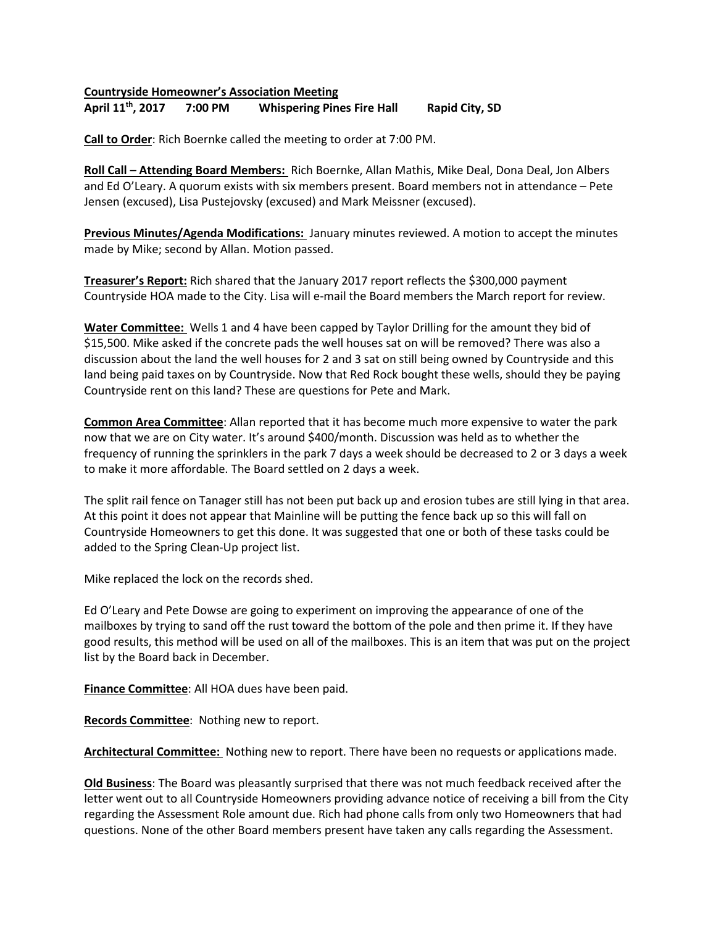## **Countryside Homeowner's Association Meeting April 11th , 2017 7:00 PM Whispering Pines Fire Hall Rapid City, SD**

**Call to Order**: Rich Boernke called the meeting to order at 7:00 PM.

**Roll Call – Attending Board Members:** Rich Boernke, Allan Mathis, Mike Deal, Dona Deal, Jon Albers and Ed O'Leary. A quorum exists with six members present. Board members not in attendance – Pete Jensen (excused), Lisa Pustejovsky (excused) and Mark Meissner (excused).

**Previous Minutes/Agenda Modifications:** January minutes reviewed. A motion to accept the minutes made by Mike; second by Allan. Motion passed.

**Treasurer's Report:** Rich shared that the January 2017 report reflects the \$300,000 payment Countryside HOA made to the City. Lisa will e-mail the Board members the March report for review.

**Water Committee:** Wells 1 and 4 have been capped by Taylor Drilling for the amount they bid of \$15,500. Mike asked if the concrete pads the well houses sat on will be removed? There was also a discussion about the land the well houses for 2 and 3 sat on still being owned by Countryside and this land being paid taxes on by Countryside. Now that Red Rock bought these wells, should they be paying Countryside rent on this land? These are questions for Pete and Mark.

**Common Area Committee**: Allan reported that it has become much more expensive to water the park now that we are on City water. It's around \$400/month. Discussion was held as to whether the frequency of running the sprinklers in the park 7 days a week should be decreased to 2 or 3 days a week to make it more affordable. The Board settled on 2 days a week.

The split rail fence on Tanager still has not been put back up and erosion tubes are still lying in that area. At this point it does not appear that Mainline will be putting the fence back up so this will fall on Countryside Homeowners to get this done. It was suggested that one or both of these tasks could be added to the Spring Clean-Up project list.

Mike replaced the lock on the records shed.

Ed O'Leary and Pete Dowse are going to experiment on improving the appearance of one of the mailboxes by trying to sand off the rust toward the bottom of the pole and then prime it. If they have good results, this method will be used on all of the mailboxes. This is an item that was put on the project list by the Board back in December.

**Finance Committee**: All HOA dues have been paid.

**Records Committee**: Nothing new to report.

**Architectural Committee:** Nothing new to report. There have been no requests or applications made.

**Old Business**: The Board was pleasantly surprised that there was not much feedback received after the letter went out to all Countryside Homeowners providing advance notice of receiving a bill from the City regarding the Assessment Role amount due. Rich had phone calls from only two Homeowners that had questions. None of the other Board members present have taken any calls regarding the Assessment.